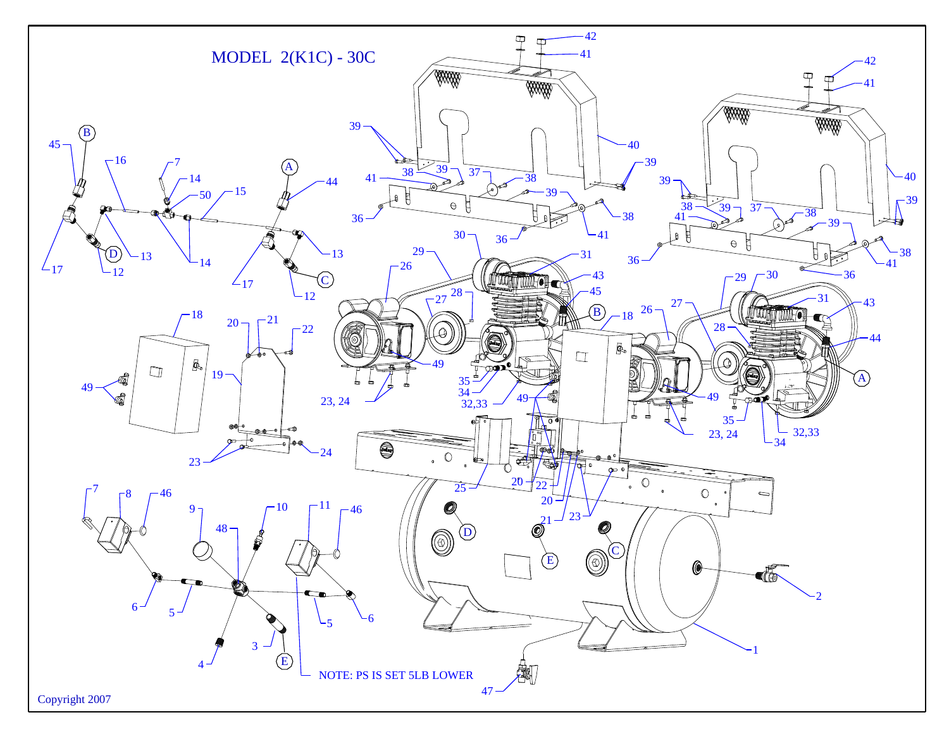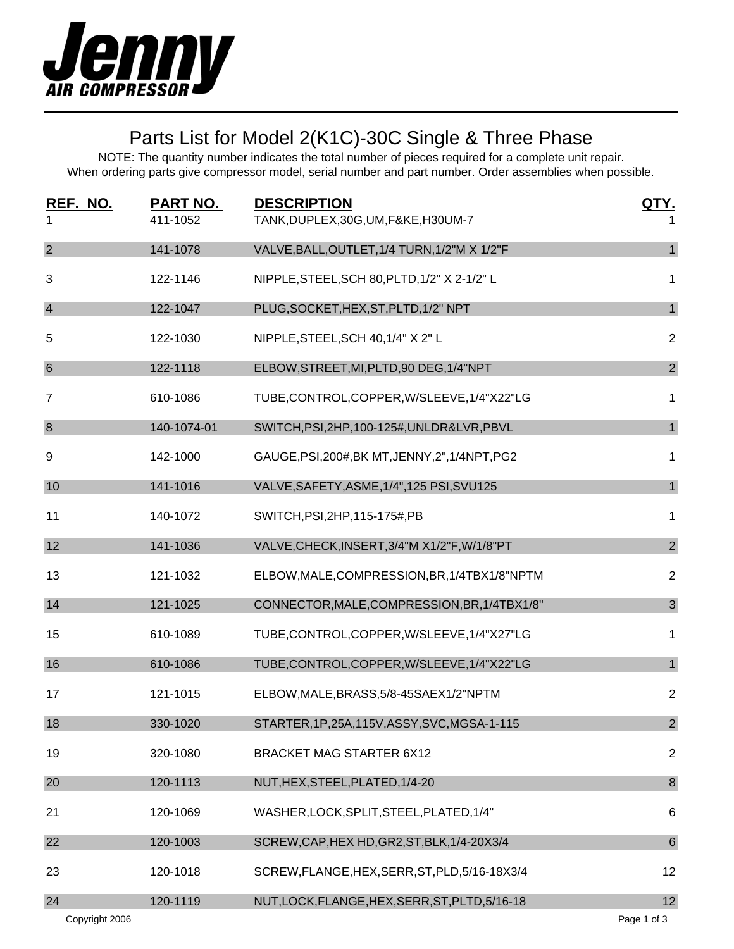

### Parts List for Model 2(K1C)-30C Single & Three Phase

| REF. NO.<br>1   | PART NO.<br>411-1052 | <b>DESCRIPTION</b><br>TANK, DUPLEX, 30G, UM, F&KE, H30UM-7 |                |
|-----------------|----------------------|------------------------------------------------------------|----------------|
| $\overline{2}$  | 141-1078             | VALVE, BALL, OUTLET, 1/4 TURN, 1/2"M X 1/2"F               | $\mathbf{1}$   |
| 3               | 122-1146             | NIPPLE, STEEL, SCH 80, PLTD, 1/2" X 2-1/2" L               | 1              |
| $\overline{4}$  | 122-1047             | PLUG, SOCKET, HEX, ST, PLTD, 1/2" NPT                      | $\mathbf{1}$   |
| 5               | 122-1030             | NIPPLE, STEEL, SCH 40, 1/4" X 2" L                         | $\overline{2}$ |
| $6\phantom{1}6$ | 122-1118             | ELBOW, STREET, MI, PLTD, 90 DEG, 1/4"NPT                   | $\overline{2}$ |
| $\overline{7}$  | 610-1086             | TUBE, CONTROL, COPPER, W/SLEEVE, 1/4"X22"LG                | 1              |
| $\bf 8$         | 140-1074-01          | SWITCH, PSI, 2HP, 100-125#, UNLDR&LVR, PBVL                | $\mathbf{1}$   |
| 9               | 142-1000             | GAUGE, PSI, 200#, BK MT, JENNY, 2", 1/4NPT, PG2            | 1              |
| 10              | 141-1016             | VALVE, SAFETY, ASME, 1/4", 125 PSI, SVU125                 | $\mathbf{1}$   |
| 11              | 140-1072             | SWITCH, PSI, 2HP, 115-175#, PB                             | 1              |
| 12              | 141-1036             | VALVE, CHECK, INSERT, 3/4"M X1/2"F, W/1/8"PT               | $\overline{2}$ |
| 13              | 121-1032             | ELBOW, MALE, COMPRESSION, BR, 1/4TBX1/8"NPTM               | $\overline{2}$ |
| 14              | 121-1025             | CONNECTOR, MALE, COMPRESSION, BR, 1/4TBX1/8"               | $\mathfrak{S}$ |
| 15              | 610-1089             | TUBE, CONTROL, COPPER, W/SLEEVE, 1/4"X27"LG                | 1              |
| 16              | 610-1086             | TUBE, CONTROL, COPPER, W/SLEEVE, 1/4"X22"LG                | $\mathbf{1}$   |
| 17              | 121-1015             | ELBOW, MALE, BRASS, 5/8-45SAEX1/2"NPTM                     | $\overline{2}$ |
| 18              | 330-1020             | STARTER, 1P, 25A, 115V, ASSY, SVC, MGSA-1-115              | $\overline{2}$ |
| 19              | 320-1080             | <b>BRACKET MAG STARTER 6X12</b>                            | $\overline{2}$ |
| 20              | 120-1113             | NUT, HEX, STEEL, PLATED, 1/4-20                            | $\bf 8$        |
| 21              | 120-1069             | WASHER, LOCK, SPLIT, STEEL, PLATED, 1/4"                   | 6              |
| 22              | 120-1003             | SCREW, CAP, HEX HD, GR2, ST, BLK, 1/4-20X3/4               | $\,6\,$        |
| 23              | 120-1018             | SCREW, FLANGE, HEX, SERR, ST, PLD, 5/16-18X3/4             | 12             |
| 24              | 120-1119             | NUT, LOCK, FLANGE, HEX, SERR, ST, PLTD, 5/16-18            | 12             |
| Copyright 2006  |                      |                                                            | Page 1 of 3    |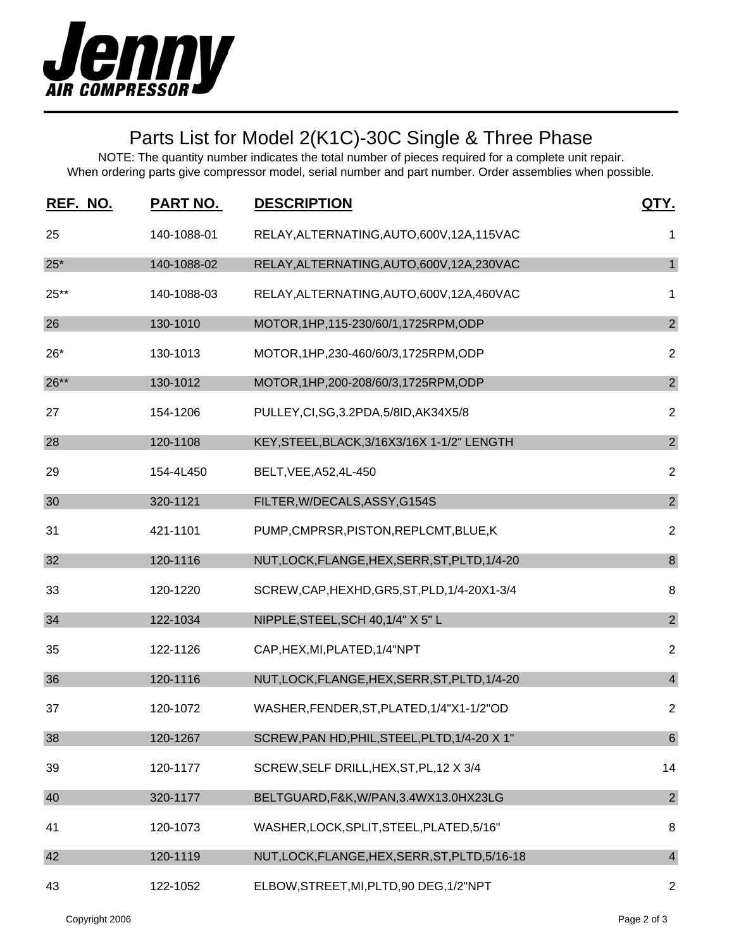

# Parts List for Model 2(K1C)-30C Single & Three Phase

| REF. NO. | <b>PART NO.</b> | <b>DESCRIPTION</b>                              | <u>QTY.</u>             |
|----------|-----------------|-------------------------------------------------|-------------------------|
| 25       | 140-1088-01     | RELAY, ALTERNATING, AUTO, 600V, 12A, 115VAC     | 1                       |
| $25*$    | 140-1088-02     | RELAY, ALTERNATING, AUTO, 600V, 12A, 230VAC     | $\mathbf{1}$            |
| 25**     | 140-1088-03     | RELAY, ALTERNATING, AUTO, 600V, 12A, 460VAC     | 1                       |
| 26       | 130-1010        | MOTOR, 1HP, 115-230/60/1, 1725RPM, ODP          | $\overline{c}$          |
| $26*$    | 130-1013        | MOTOR, 1HP, 230-460/60/3, 1725RPM, ODP          | $\overline{2}$          |
| $26**$   | 130-1012        | MOTOR, 1HP, 200-208/60/3, 1725RPM, ODP          | $\overline{2}$          |
| 27       | 154-1206        | PULLEY, CI, SG, 3.2PDA, 5/8ID, AK34X5/8         | $\overline{2}$          |
| 28       | 120-1108        | KEY, STEEL, BLACK, 3/16X3/16X 1-1/2" LENGTH     | $\overline{2}$          |
| 29       | 154-4L450       | BELT, VEE, A52, 4L-450                          | $\overline{2}$          |
| 30       | 320-1121        | FILTER, W/DECALS, ASSY, G154S                   | $\overline{2}$          |
| 31       | 421-1101        | PUMP, CMPRSR, PISTON, REPLCMT, BLUE, K          | $\overline{2}$          |
| 32       | 120-1116        | NUT, LOCK, FLANGE, HEX, SERR, ST, PLTD, 1/4-20  | $\boldsymbol{8}$        |
| 33       | 120-1220        | SCREW, CAP, HEXHD, GR5, ST, PLD, 1/4-20X1-3/4   | 8                       |
| 34       | 122-1034        | NIPPLE, STEEL, SCH 40, 1/4" X 5" L              | $\overline{2}$          |
| 35       | 122-1126        | CAP, HEX, MI, PLATED, 1/4"NPT                   | $\overline{2}$          |
| 36       | 120-1116        | NUT, LOCK, FLANGE, HEX, SERR, ST, PLTD, 1/4-20  | $\overline{4}$          |
| 37       | 120-1072        | WASHER, FENDER, ST, PLATED, 1/4"X1-1/2"OD       | $\overline{2}$          |
| 38       | 120-1267        | SCREW, PAN HD, PHIL, STEEL, PLTD, 1/4-20 X 1"   | 6                       |
| 39       | 120-1177        | SCREW, SELF DRILL, HEX, ST, PL, 12 X 3/4        | 14                      |
| 40       | 320-1177        | BELTGUARD, F&K, W/PAN, 3.4WX13.0HX23LG          | $\overline{2}$          |
| 41       | 120-1073        | WASHER, LOCK, SPLIT, STEEL, PLATED, 5/16"       | 8                       |
| 42       | 120-1119        | NUT, LOCK, FLANGE, HEX, SERR, ST, PLTD, 5/16-18 | $\overline{\mathbf{4}}$ |
| 43       | 122-1052        | ELBOW, STREET, MI, PLTD, 90 DEG, 1/2"NPT        | $\overline{2}$          |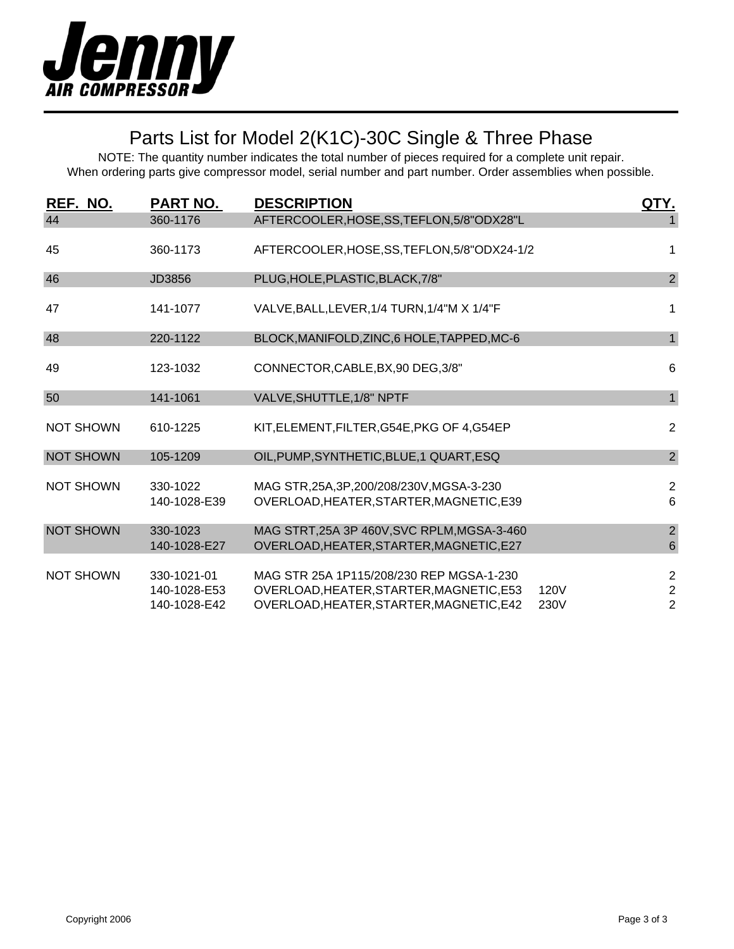

# Parts List for Model 2(K1C)-30C Single & Three Phase

| REF. NO.         | <b>PART NO.</b>                             | <b>DESCRIPTION</b>                                                                                                               | QTY.         |                                            |
|------------------|---------------------------------------------|----------------------------------------------------------------------------------------------------------------------------------|--------------|--------------------------------------------|
| 44               | 360-1176                                    | AFTERCOOLER, HOSE, SS, TEFLON, 5/8"ODX28"L                                                                                       |              | 1                                          |
| 45               | 360-1173                                    | AFTERCOOLER, HOSE, SS, TEFLON, 5/8"ODX24-1/2                                                                                     |              | 1                                          |
| 46               | JD3856                                      | PLUG, HOLE, PLASTIC, BLACK, 7/8"                                                                                                 |              | $\overline{2}$                             |
| 47               | 141-1077                                    | VALVE, BALL, LEVER, 1/4 TURN, 1/4"M X 1/4"F                                                                                      |              | 1                                          |
| 48               | 220-1122                                    | BLOCK, MANIFOLD, ZINC, 6 HOLE, TAPPED, MC-6                                                                                      |              | $\mathbf{1}$                               |
| 49               | 123-1032                                    | CONNECTOR, CABLE, BX, 90 DEG, 3/8"                                                                                               |              | 6                                          |
| 50               | 141-1061                                    | VALVE, SHUTTLE, 1/8" NPTF                                                                                                        |              | $\mathbf{1}$                               |
| <b>NOT SHOWN</b> | 610-1225                                    | KIT, ELEMENT, FILTER, G54E, PKG OF 4, G54EP                                                                                      |              | $\sqrt{2}$                                 |
| <b>NOT SHOWN</b> | 105-1209                                    | OIL, PUMP, SYNTHETIC, BLUE, 1 QUART, ESQ                                                                                         |              | $\overline{2}$                             |
| <b>NOT SHOWN</b> | 330-1022<br>140-1028-E39                    | MAG STR, 25A, 3P, 200/208/230V, MGSA-3-230<br>OVERLOAD, HEATER, STARTER, MAGNETIC, E39                                           |              | $\overline{2}$<br>$6\phantom{1}$           |
| <b>NOT SHOWN</b> | 330-1023<br>140-1028-E27                    | MAG STRT, 25A 3P 460V, SVC RPLM, MGSA-3-460<br>OVERLOAD, HEATER, STARTER, MAGNETIC, E27                                          |              | $\sqrt{2}$<br>$\,6$                        |
| <b>NOT SHOWN</b> | 330-1021-01<br>140-1028-E53<br>140-1028-E42 | MAG STR 25A 1P115/208/230 REP MGSA-1-230<br>OVERLOAD, HEATER, STARTER, MAGNETIC, E53<br>OVERLOAD, HEATER, STARTER, MAGNETIC, E42 | 120V<br>230V | $\sqrt{2}$<br>$\sqrt{2}$<br>$\overline{2}$ |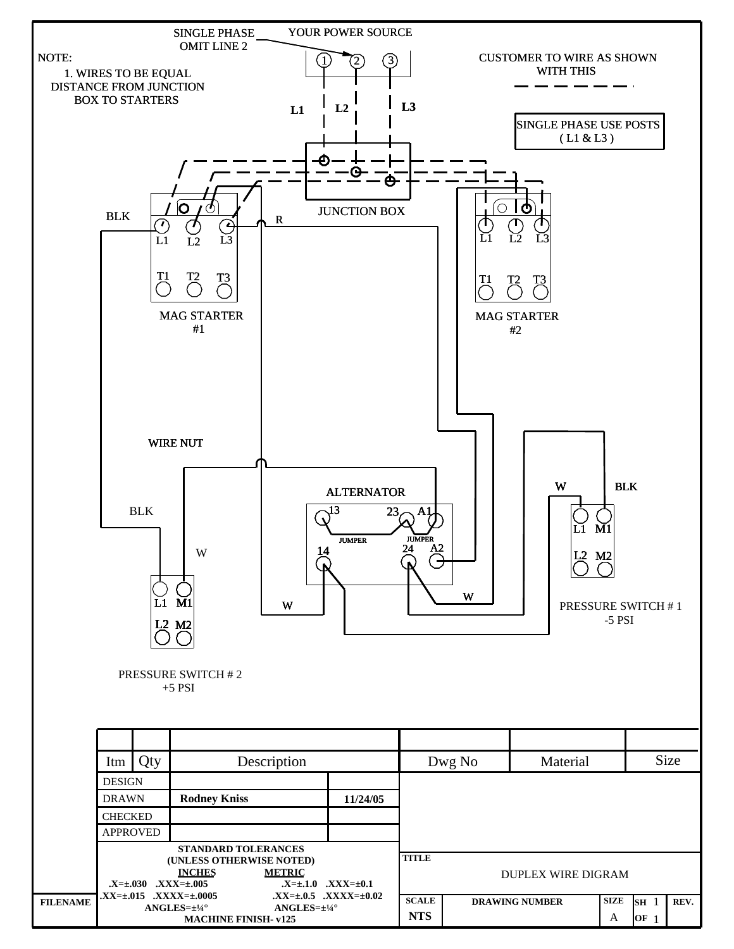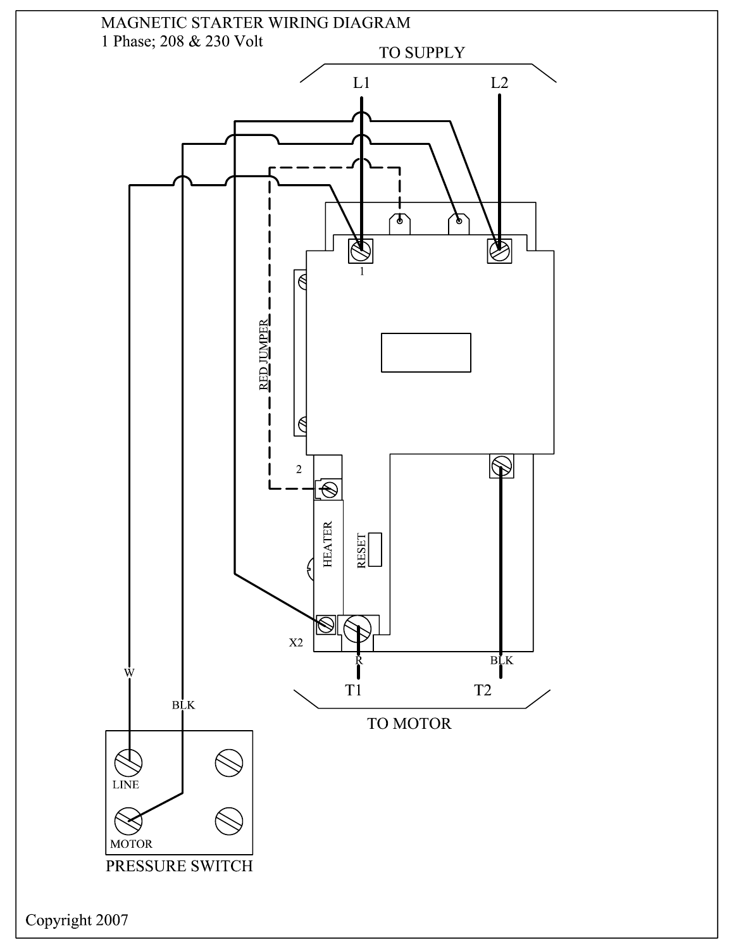

Copyright 2007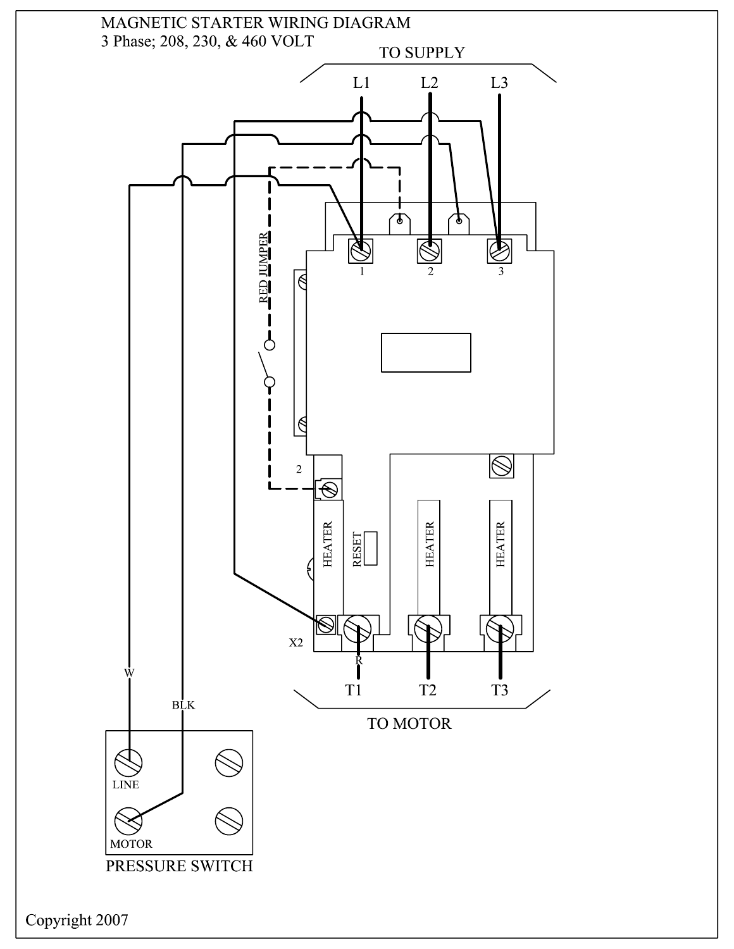

Copyright 2007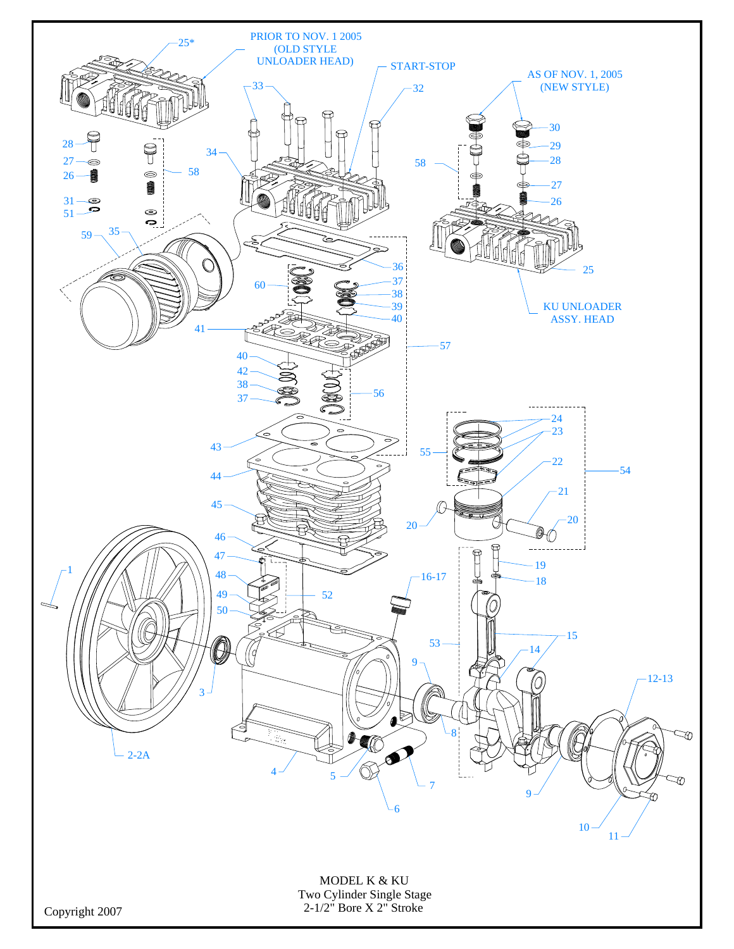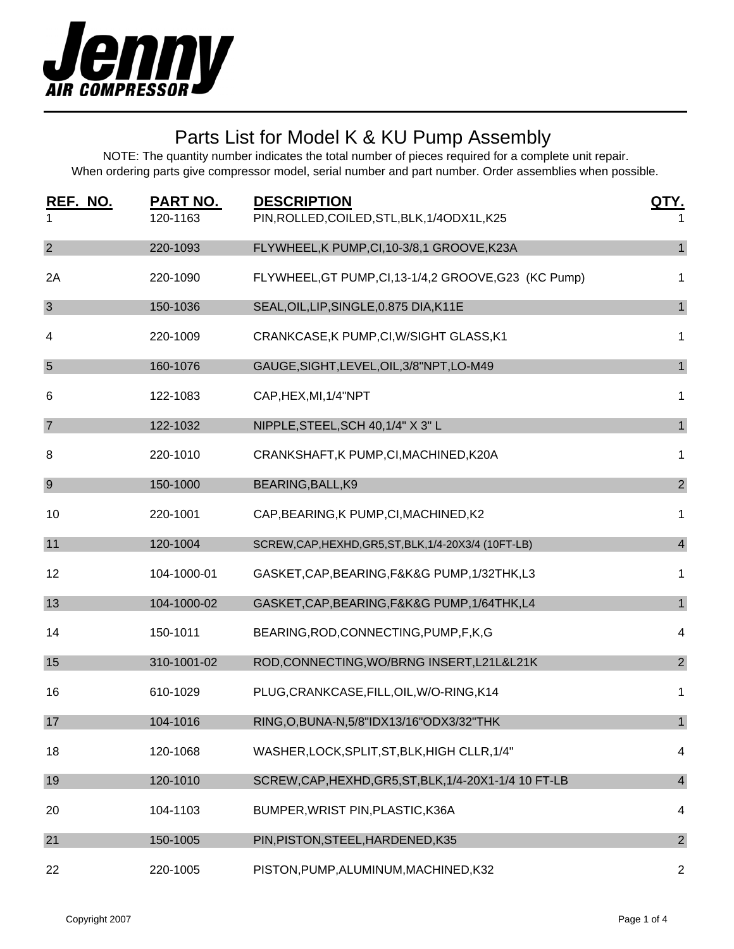

| REF. NO.<br>1    | <b>PART NO.</b><br>120-1163 | <b>DESCRIPTION</b><br>PIN, ROLLED, COILED, STL, BLK, 1/4ODX1L, K25 | QTY.           |
|------------------|-----------------------------|--------------------------------------------------------------------|----------------|
| $\overline{2}$   | 220-1093                    | FLYWHEEL, K PUMP, CI, 10-3/8, 1 GROOVE, K23A                       | $\mathbf{1}$   |
| 2A               | 220-1090                    | FLYWHEEL, GT PUMP, CI, 13-1/4, 2 GROOVE, G23 (KC Pump)             | 1              |
| $\mathbf{3}$     | 150-1036                    | SEAL, OIL, LIP, SINGLE, 0.875 DIA, K11E                            | $\mathbf{1}$   |
| 4                | 220-1009                    | CRANKCASE, K PUMP, CI, W/SIGHT GLASS, K1                           | 1              |
| $5\phantom{.0}$  | 160-1076                    | GAUGE, SIGHT, LEVEL, OIL, 3/8" NPT, LO-M49                         | $\mathbf{1}$   |
| 6                | 122-1083                    | CAP, HEX, MI, 1/4"NPT                                              | 1              |
| $\overline{7}$   | 122-1032                    | NIPPLE, STEEL, SCH 40, 1/4" X 3" L                                 | $\mathbf{1}$   |
| 8                | 220-1010                    | CRANKSHAFT, K PUMP, CI, MACHINED, K20A                             | 1              |
| $\boldsymbol{9}$ | 150-1000                    | BEARING, BALL, K9                                                  | $\overline{2}$ |
| 10               | 220-1001                    | CAP, BEARING, K PUMP, CI, MACHINED, K2                             | 1              |
| 11               | 120-1004                    | SCREW, CAP, HEXHD, GR5, ST, BLK, 1/4-20X3/4 (10FT-LB)              | $\overline{4}$ |
| 12               | 104-1000-01                 | GASKET, CAP, BEARING, F&K&G PUMP, 1/32THK, L3                      | 1              |
| 13               | 104-1000-02                 | GASKET, CAP, BEARING, F&K&G PUMP, 1/64THK, L4                      | $\mathbf{1}$   |
| 14               | 150-1011                    | BEARING, ROD, CONNECTING, PUMP, F, K, G                            | 4              |
| 15               | 310-1001-02                 | ROD, CONNECTING, WO/BRNG INSERT, L21L&L21K                         | $\overline{2}$ |
| 16               | 610-1029                    | PLUG, CRANKCASE, FILL, OIL, W/O-RING, K14                          | 1              |
| 17               | 104-1016                    | RING, O, BUNA-N, 5/8" IDX13/16" ODX3/32" THK                       | $\mathbf{1}$   |
| 18               | 120-1068                    | WASHER, LOCK, SPLIT, ST, BLK, HIGH CLLR, 1/4"                      | 4              |
| 19               | 120-1010                    | SCREW, CAP, HEXHD, GR5, ST, BLK, 1/4-20X1-1/4 10 FT-LB             | $\overline{4}$ |
| 20               | 104-1103                    | BUMPER, WRIST PIN, PLASTIC, K36A                                   | 4              |
| 21               | 150-1005                    | PIN, PISTON, STEEL, HARDENED, K35                                  | $\overline{2}$ |
| 22               | 220-1005                    | PISTON, PUMP, ALUMINUM, MACHINED, K32                              | $\overline{c}$ |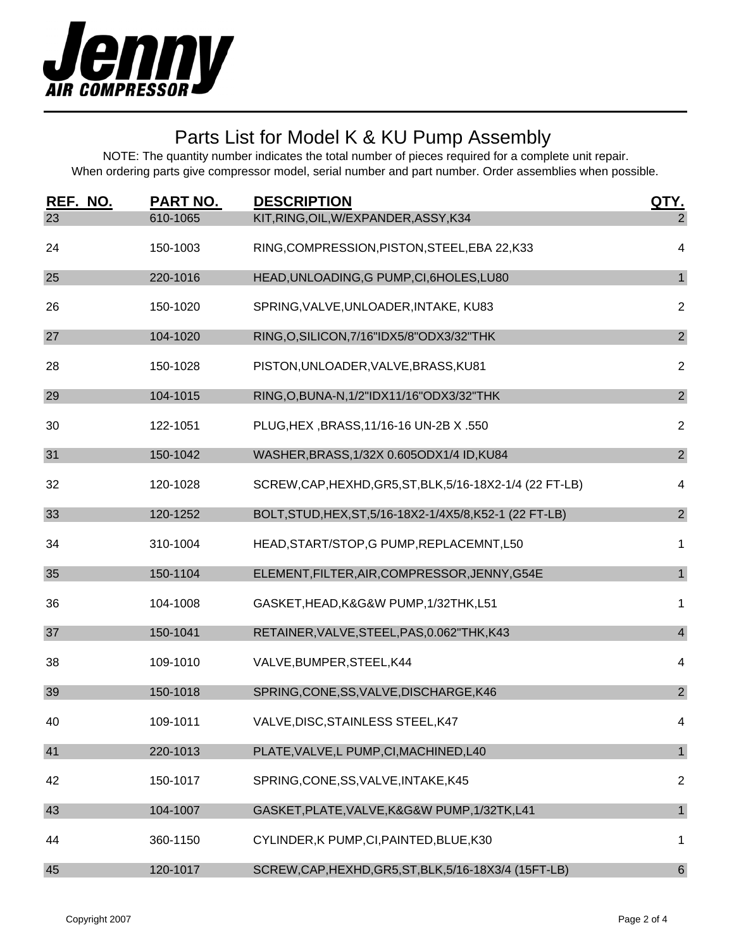

| REF. NO. | <b>PART NO.</b> | <b>DESCRIPTION</b>                                        | <u>QTY.</u>      |
|----------|-----------------|-----------------------------------------------------------|------------------|
| 23       | 610-1065        | KIT, RING, OIL, W/EXPANDER, ASSY, K34                     | $\overline{2}$   |
| 24       | 150-1003        | RING, COMPRESSION, PISTON, STEEL, EBA 22, K33             | 4                |
| 25       | 220-1016        | HEAD, UNLOADING, G PUMP, CI, 6HOLES, LU80                 | $\mathbf{1}$     |
| 26       | 150-1020        | SPRING, VALVE, UNLOADER, INTAKE, KU83                     | $\overline{2}$   |
| 27       | 104-1020        | RING, O, SILICON, 7/16" IDX5/8" ODX3/32" THK              | $\overline{2}$   |
| 28       | 150-1028        | PISTON, UNLOADER, VALVE, BRASS, KU81                      | $\overline{2}$   |
| 29       | 104-1015        | RING, O, BUNA-N, 1/2"IDX11/16" ODX3/32" THK               | $\overline{2}$   |
| 30       | 122-1051        | PLUG, HEX, BRASS, 11/16-16 UN-2B X.550                    | $\overline{2}$   |
| 31       | 150-1042        | WASHER, BRASS, 1/32X 0.605ODX1/4 ID, KU84                 | $\overline{2}$   |
| 32       | 120-1028        | SCREW, CAP, HEXHD, GR5, ST, BLK, 5/16-18X2-1/4 (22 FT-LB) | 4                |
| 33       | 120-1252        | BOLT, STUD, HEX, ST, 5/16-18X2-1/4X5/8, K52-1 (22 FT-LB)  | $\overline{2}$   |
| 34       | 310-1004        | HEAD, START/STOP, G PUMP, REPLACEMNT, L50                 | 1                |
| 35       | 150-1104        | ELEMENT, FILTER, AIR, COMPRESSOR, JENNY, G54E             | $\mathbf{1}$     |
| 36       | 104-1008        | GASKET, HEAD, K&G&W PUMP, 1/32THK, L51                    | 1                |
| 37       | 150-1041        | RETAINER, VALVE, STEEL, PAS, 0.062"THK, K43               | $\overline{4}$   |
| 38       | 109-1010        | VALVE, BUMPER, STEEL, K44                                 | $\overline{4}$   |
| 39       | 150-1018        | SPRING, CONE, SS, VALVE, DISCHARGE, K46                   | $\overline{2}$   |
| 40       | 109-1011        | VALVE, DISC, STAINLESS STEEL, K47                         | 4                |
| 41       | 220-1013        | PLATE, VALVE, L PUMP, CI, MACHINED, L40                   | $\mathbf{1}$     |
| 42       | 150-1017        | SPRING, CONE, SS, VALVE, INTAKE, K45                      | $\overline{2}$   |
| 43       | 104-1007        | GASKET, PLATE, VALVE, K&G&W PUMP, 1/32TK, L41             | $\mathbf{1}$     |
| 44       | 360-1150        | CYLINDER, K PUMP, CI, PAINTED, BLUE, K30                  | 1                |
| 45       | 120-1017        | SCREW, CAP, HEXHD, GR5, ST, BLK, 5/16-18X3/4 (15FT-LB)    | $6 \overline{6}$ |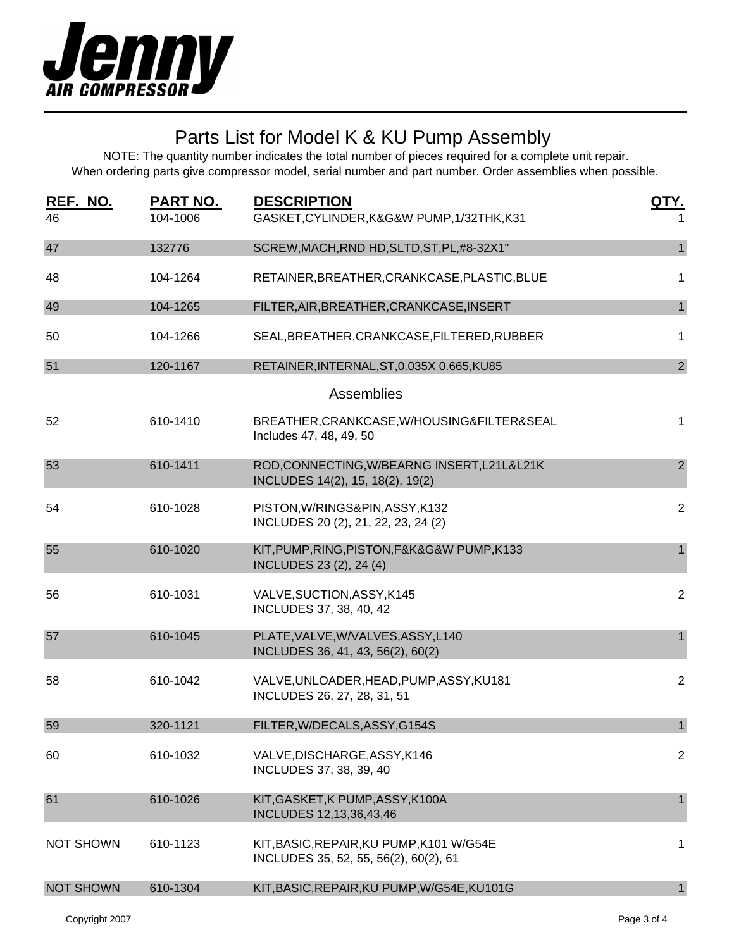

| REF. NO.<br>46   | <u>PART NO.</u><br>104-1006 | <b>DESCRIPTION</b><br>GASKET, CYLINDER, K&G&W PUMP, 1/32THK, K31                  | QTY.           |
|------------------|-----------------------------|-----------------------------------------------------------------------------------|----------------|
| 47               | 132776                      | SCREW, MACH, RND HD, SLTD, ST, PL, #8-32X1"                                       | $\mathbf{1}$   |
| 48               | 104-1264                    | RETAINER, BREATHER, CRANKCASE, PLASTIC, BLUE                                      | 1              |
| 49               | 104-1265                    | FILTER, AIR, BREATHER, CRANKCASE, INSERT                                          | $\mathbf{1}$   |
| 50               | 104-1266                    | SEAL, BREATHER, CRANKCASE, FILTERED, RUBBER                                       | 1              |
| 51               | 120-1167                    | RETAINER, INTERNAL, ST, 0.035X 0.665, KU85                                        | $\overline{2}$ |
|                  |                             | <b>Assemblies</b>                                                                 |                |
| 52               | 610-1410                    | BREATHER, CRANKCASE, W/HOUSING&FILTER&SEAL<br>Includes 47, 48, 49, 50             | 1              |
| 53               | 610-1411                    | ROD,CONNECTING, W/BEARNG INSERT, L21L&L21K<br>INCLUDES 14(2), 15, 18(2), 19(2)    | $\overline{2}$ |
| 54               | 610-1028                    | PISTON, W/RINGS&PIN, ASSY, K132<br>INCLUDES 20 (2), 21, 22, 23, 24 (2)            | $\overline{2}$ |
| 55               | 610-1020                    | KIT, PUMP, RING, PISTON, F&K&G&W PUMP, K133<br>INCLUDES 23 (2), 24 (4)            | $\mathbf{1}$   |
| 56               | 610-1031                    | VALVE, SUCTION, ASSY, K145<br>INCLUDES 37, 38, 40, 42                             | $\overline{2}$ |
| 57               | 610-1045                    | PLATE, VALVE, W/VALVES, ASSY, L140<br>INCLUDES 36, 41, 43, 56(2), 60(2)           | $\mathbf{1}$   |
| 58               | 610-1042                    | VALVE, UNLOADER, HEAD, PUMP, ASSY, KU181<br>INCLUDES 26, 27, 28, 31, 51           | $\overline{2}$ |
| 59               | 320-1121                    | FILTER, W/DECALS, ASSY, G154S                                                     | $\mathbf{1}$   |
| 60               | 610-1032                    | VALVE, DISCHARGE, ASSY, K146<br>INCLUDES 37, 38, 39, 40                           | $\overline{2}$ |
| 61               | 610-1026                    | KIT, GASKET, K PUMP, ASSY, K100A<br>INCLUDES 12,13,36,43,46                       | 1              |
| <b>NOT SHOWN</b> | 610-1123                    | KIT, BASIC, REPAIR, KU PUMP, K101 W/G54E<br>INCLUDES 35, 52, 55, 56(2), 60(2), 61 | 1              |
| <b>NOT SHOWN</b> | 610-1304                    | KIT, BASIC, REPAIR, KU PUMP, W/G54E, KU101G                                       | $\mathbf{1}$   |